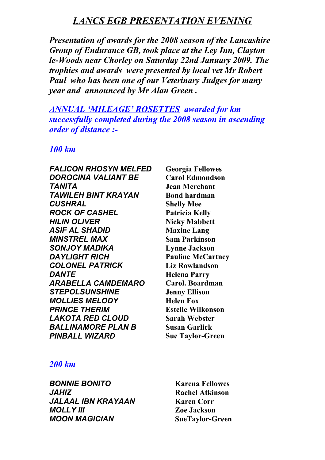# *LANCS EGB PRESENTATION EVENING*

*Presentation of awards for the 2008 season of the Lancashire Group of Endurance GB, took place at the Ley Inn, Clayton le-Woods near Chorley on Saturday 22nd January 2009. The trophies and awards were presented by local vet Mr Robert Paul who has been one of our Veterinary Judges for many year and announced by Mr Alan Green .*

*ANNUAL 'MILEAGE' ROSETTES awarded for km successfully completed during the 2008 season in ascending order of distance :-*

### *100 km*

*FALICON RHOSYN MELFED* **Georgia Fellowes** *DOROCINA VALIANT BE* **Carol Edmondson** *TANITA* **Jean Merchant TAWILEH BINT KRAYAN Bond hardman** *CUSHRAL* **Shelly Mee** *ROCK OF CASHEL* **Patricia Kelly** *HILIN OLIVER* **Nicky Mabbett** *ASIF AL SHADID* **Maxine Lang** *MINSTREL MAX* **Sam Parkinson** *SONJOY MADIKA* **Lynne Jackson** *DAYLIGHT RICH* **Pauline McCartney** *COLONEL PATRICK* **Liz Rowlandson** *DANTE* **Helena Parry** *ARABELLA CAMDEMARO* **Carol. Boardman** *STEPOLSUNSHINE* **Jenny Ellison** *MOLLIES MELODY* **Helen Fox** *PRINCE THERIM* **Estelle Wilkonson** *LAKOTA RED CLOUD* **Sarah Webster** *BALLINAMORE PLAN B* **Susan Garlick** *PINBALL WIZARD* **Sue Taylor-Green**

## *200 km*

*BONNIE BONITO* **Karena Fellowes** *JAHIZ* **Rachel Atkinson** *JALAAL IBN KRAYAAN* **Karen Corr** *MOLLY III* **Zoe Jackson** *MOON MAGICIAN* **SueTaylor-Green**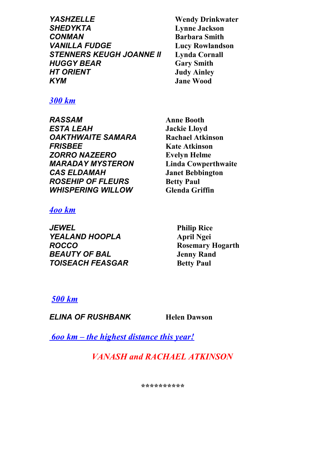*YASHZELLE* **Wendy Drinkwater** *SHEDYKTA* **Lynne Jackson** *CONMAN* **Barbara Smith** *VANILLA FUDGE* **Lucy Rowlandson STENNERS KEUGH JOANNE II** *HUGGY BEAR* **Gary Smith** *HT ORIENT* **Judy Ainley** *KYM* **Jane Wood**

*300 km*

*RASSAM* **Anne Booth** *ESTA LEAH* **Jackie Lloyd** *OAKTHWAITE SAMARA* **Rachael Atkinson** *FRISBEE* **Kate Atkinson** *ZORRO NAZEERO* **Evelyn Helme**  *MARADAY MYSTERON* **Linda Cowperthwaite** *CAS ELDAMAH* **Janet Bebbington ROSEHIP OF FLEURS** Betty Paul *WHISPERING WILLOW* **Glenda Griffin**

## *4oo km*

*JEWEL* **Philip Rice** *YEALAND HOOPLA* **April Ngei** *ROCCO* **Rosemary Hogarth** *BEAUTY OF BAL* **Jenny Rand TOISEACH FEASGAR** Betty Paul

# *500 km*

*ELINA OF RUSHBANK* **Helen Dawson**

 *6oo km – the highest distance this year!*

*VANASH and RACHAEL ATKINSON*

*\*\*\*\*\*\*\*\*\*\**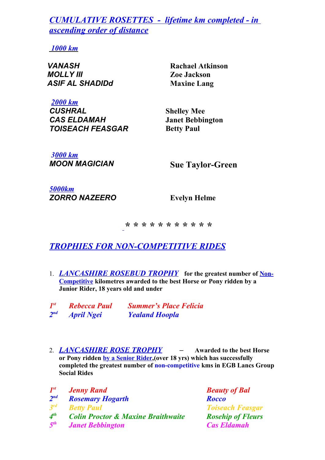*CUMULATIVE ROSETTES - lifetime km completed - in ascending order of distance*

 *1000 km*

*VANASH* **Rachael Atkinson** *MOLLY III* **Zoe Jackson** *ASIF AL SHADIDd* **Maxine Lang**

*2000 km CUSHRAL* **Shelley Mee** *CAS ELDAMAH* **Janet Bebbington TOISEACH FEASGAR Betty Paul** 

*3000 km MOON MAGICIAN* **Sue Taylor-Green**

*5000km ZORRO NAZEERO* **Evelyn Helme**

*\* \* \* \* \* \* \* \* \* \* \**

# *TROPHIES FOR NON-COMPETITIVE RIDES*

1. *LANCASHIRE ROSEBUD TROPHY* **for the greatest number of Non-Competitive kilometres awarded to the best Horse or Pony ridden by a Junior Rider, 18 years old and under**

| $I^{st}$ | <b>Rebecca Paul</b> | <b>Summer's Place Felicia</b> |
|----------|---------------------|-------------------------------|
| $2^{nd}$ | <b>April Ngei</b>   | <b>Yealand Hoopla</b>         |

2. *LANCASHIRE ROSE TROPHY –* **Awarded to the best Horse or Pony ridden by a Senior Rider,(over 18 yrs) which has successfully completed the greatest number of non-competitive kms in EGB Lancs Group Social Rides**

| $I^{st}$        | <b>Jenny Rand</b>                             | <b>Beauty of Bal</b>     |
|-----------------|-----------------------------------------------|--------------------------|
| $2^{nd}$        | <b>Rosemary Hogarth</b>                       | <b>Rocco</b>             |
| $3^{rd}$        | <b>Betty Paul</b>                             | <b>Toiseach Feasgar</b>  |
| $4^{th}$        | <b>Colin Proctor &amp; Maxine Braithwaite</b> | <b>Rosehip of Fleurs</b> |
| 5 <sup>th</sup> | <b>Janet Bebbington</b>                       | <b>Cas Eldamah</b>       |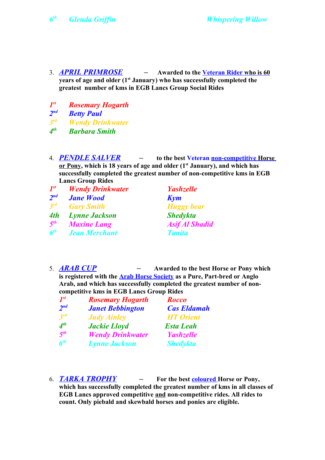- 3. *APRIL PRIMROSE* **Awarded to the Veteran Rider who is 60 years of age and older (1st January) who has successfully completed the greatest number of kms in EGB Lancs Group Social Rides**
- *1* **Rosemary Hogarth**
- 2<sup>nd</sup> *Betty Paul*
- *3 Wendy Drinkwater*
- *4 th Barbara Smith*
- 4. *PENDLE SALVER* **to the best Veteran non-competitive Horse or Pony, which is 18 years of age and older (1st January), and which has successfully completed the greatest number of non-competitive kms in EGB Lancs Group Rides**
- *1 st Wendy Drinkwater Yashzelle* 2<sup>nd</sup> *Jane Wood* Kym *3 rd Gary Smith Huggy bear 4th Lynne Jackson Shedykta 5<sup>th</sup>**Maxine Lang Asif Al Shadid 6 th Jean Merchant Tanita*
- 5. *ARAB CUP* **Awarded to the best Horse or Pony which is registered with the Arab Horse Society as a Pure, Part-bred or Anglo Arab, and which has successfully completed the greatest number of noncompetitive kms in EGB Lancs Group Rides**

| $I^{st}$                    | <b>Rosemary Hogarth</b> | Rocco              |
|-----------------------------|-------------------------|--------------------|
| 2 <sup>nd</sup>             | <b>Janet Bebbington</b> | <b>Cas Eldamah</b> |
| $3^{rd}$                    | <b>Judy Ainley</b>      | <b>HT</b> Orient   |
| $\boldsymbol{\Lambda}^{th}$ | <b>Jackie Lloyd</b>     | <b>Esta Leah</b>   |
| 5 <sup>th</sup>             | <b>Wendy Drinkwater</b> | <b>Yashzelle</b>   |
| 6 <sup>th</sup>             | <b>Lynne Jackson</b>    | <b>Shedykta</b>    |

6. *TARKA TROPHY –* **For the best coloured Horse or Pony,** 

**which has successfully completed the greatest number of kms in all classes of EGB Lancs approved competitive and non-competitive rides. All rides to count. Only piebald and skewbald horses and ponies are eligible.**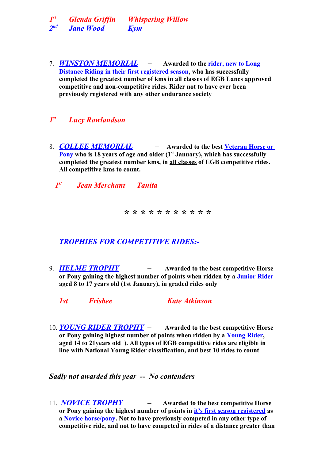*1 st Glenda Griffin Whispering Willow*  $2<sub>nd</sub>$ *nd Jane Wood Kym*

7. *WINSTON MEMORIAL –* **Awarded to the rider, new to Long Distance Riding in their first registered season, who has successfully completed the greatest number of kms in all classes of EGB Lancs approved competitive and non-competitive rides. Rider not to have ever been previously registered with any other endurance society** 

#### *1 Lucy Rowlandson*

8. *COLLEE MEMORIAL –* **Awarded to the best Veteran Horse or Pony who is 18 years of age and older (1st January), which has successfully completed the greatest number kms, in all classes of EGB competitive rides. All competitive kms to count.** 

 *1st Jean Merchant Tanita*

*\* \* \* \* \* \* \* \* \* \* \**

*TROPHIES FOR COMPETITIVE RIDES:-*

9. *HELME TROPHY –* **Awarded to the best competitive Horse or Pony gaining the highest number of points when ridden by a Junior Rider aged 8 to 17 years old (1st January), in graded rides only**

*1st Frisbee Kate Atkinson*

10. *YOUNG RIDER TROPHY –* **Awarded to the best competitive Horse or Pony gaining highest number of points when ridden by a Young Rider, aged 14 to 21years old ). All types of EGB competitive rides are eligible in line with National Young Rider classification, and best 10 rides to count**

*Sadly not awarded this year -- No contenders*

11. *NOVICE TROPHY –* **Awarded to the best competitive Horse or Pony gaining the highest number of points in it's first season registered as a Novice horse/pony. Not to have previously competed in any other type of competitive ride, and not to have competed in rides of a distance greater than**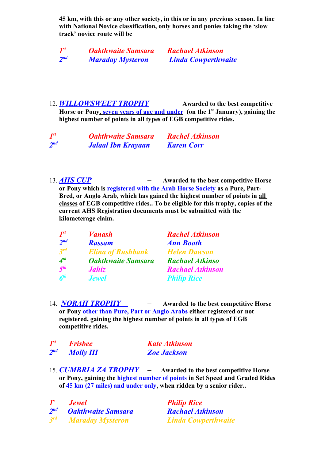**45 km, with this or any other society, in this or in any previous season. In line with National Novice classification, only horses and ponies taking the 'slow track' novice route will be** 

| $I^{st}$ | <b>Oakthwaite Samsara</b> | <b>Rachael Atkinson</b>    |
|----------|---------------------------|----------------------------|
| $2^{nd}$ | <b>Maraday Mysteron</b>   | <b>Linda Cowperthwaite</b> |

12. *WILLOWSWEET TROPHY –* **Awarded to the best competitive Horse or Pony , seven years of age and under (on the 1st January), gaining the highest number of points in all types of EGB competitive rides.** 

| $I^{st}$ | <b>Oakthwaite Samsara</b> | <b>Rachel Atkinson</b> |
|----------|---------------------------|------------------------|
| $2^{nd}$ | <b>Jalaal Ibn Krayaan</b> | <b>Karen Corr</b>      |

13. *AHS CUP –* **Awarded to the best competitive Horse or Pony which is registered with the Arab Horse Society as a Pure, Part-Bred, or Anglo Arab, which has gained the highest number of points in all classes of EGB competitive rides.. To be eligible for this trophy, copies of the current AHS Registration documents must be submitted with the kilometerage claim.**

| $I^{st}$                       | <b><i>Vanash</i></b>      | <b>Rachel Atkinson</b>  |
|--------------------------------|---------------------------|-------------------------|
| 2 <sup>nd</sup>                | <b>Rassam</b>             | <b>Ann Booth</b>        |
| 3 <sup>rd</sup>                | <b>Elina of Rushbank</b>  | <b>Helen Dawson</b>     |
| $4^{th}$                       | <b>Oakthwaite Samsara</b> | <b>Rachael Atkinso</b>  |
| 5 <sup>th</sup>                | Jahiz                     | <b>Rachael Atkinson</b> |
| $\boldsymbol{6}^{\textit{th}}$ | <b>Jewel</b>              | <b>Philip Rice</b>      |

14. *NORAH TROPHY –* **Awarded to the best competitive Horse or Pony other than Pure, Part or Anglo Arabs either registered or not registered, gaining the highest number of points in all types of EGB competitive rides.** 

| $I^{st}$ | <b>Frisbee</b>   | <b>Kate Atkinson</b> |
|----------|------------------|----------------------|
| $2^{nd}$ | <b>Molly III</b> | <b>Zoe Jackson</b>   |

15. *CUMBRIA ZA TROPHY –* **Awarded to the best competitive Horse or Pony, gaining the highest number of points in Set Speed and Graded Rides of 45 km (27 miles) and under only, when ridden by a senior rider..**

*1 s Jewel Philip Rice 2 nd Oakthwaite Samsara Rachael Atkinson 3 rd Maraday Mysteron Linda Cowperthwaite*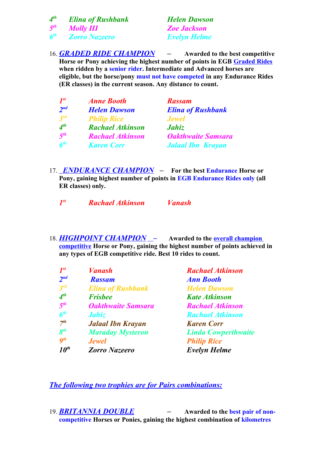| A <sup>th</sup> | <b>Elina of Rushbank</b> | <b>Helen Dawson</b> |
|-----------------|--------------------------|---------------------|
| 5 <sup>th</sup> | <b>Molly III</b>         | <b>Zoe Jackson</b>  |
| 6 <sup>th</sup> | <b>Zorro Nazeero</b>     | <b>Evelyn Helme</b> |

16. *GRADED RIDE CHAMPION –* **Awarded to the best competitive Horse or Pony achieving the highest number of points in EGB Graded Rides when ridden by a senior rider. Intermediate and Advanced horses are eligible, but the horse/pony must not have competed in any Endurance Rides (ER classes) in the current season. Any distance to count.**

| $I^{st}$        | <b>Anne Booth</b>       | <b>Rassam</b>             |
|-----------------|-------------------------|---------------------------|
| 2 <sup>nd</sup> | <b>Helen Dawson</b>     | <b>Elina of Rushbank</b>  |
| 3 <sup>rd</sup> | <b>Philip Rice</b>      | <b>Jewel</b>              |
| $4^{th}$        | <b>Rachael Atkinson</b> | Jahiz                     |
| 5 <sup>th</sup> | <b>Rachael Atkinson</b> | <b>Oakthwaite Samsara</b> |
| 6 <sup>th</sup> | <b>Karen Corr</b>       | <b>Jalaal Ibn Krayan</b>  |

17. *ENDURANCE CHAMPION –* **For the best Endurance Horse or Pony, gaining highest number of points in EGB Endurance Rides only (all ER classes) only.** 

*1 st Rachael Atkinson Vanash*

18. *HIGHPOINT CHAMPION –* **Awarded to the overall champion competitive Horse or Pony, gaining the highest number of points achieved in any types of EGB competitive ride. Best 10 rides to count.**

| $I^{st}$        | <b><i>Vanash</i></b>      | <b>Rachael Atkinson</b>    |
|-----------------|---------------------------|----------------------------|
| $2^{nd}$        | <b>Rassam</b>             | <b>Ann Booth</b>           |
| $3^{rd}$        | <b>Elina of Rushbank</b>  | <b>Helen Dawson</b>        |
| 4 <sup>th</sup> | <b>Frisbee</b>            | <b>Kate Atkinson</b>       |
| 5 <sup>th</sup> | <b>Oakthwaite Samsara</b> | <b>Rachael Atkinson</b>    |
| 6 <sup>th</sup> | Jahiz                     | <b>Rachael Atkinson</b>    |
| 7 <sup>th</sup> | <b>Jalaal Ibn Krayan</b>  | <b>Karen Corr</b>          |
| 8 <sup>th</sup> | <b>Maraday Mysteron</b>   | <b>Linda Cowperthwaite</b> |
| $q^{th}$        | <b>Jewel</b>              | <b>Philip Rice</b>         |
| $10^{th}$       | Zorro Nazeero             | <b>Evelyn Helme</b>        |

*The following two trophies are for Pairs combinations:*

19. *BRITANNIA DOUBLE –* **Awarded to the best pair of noncompetitive Horses or Ponies, gaining the highest combination of kilometres**